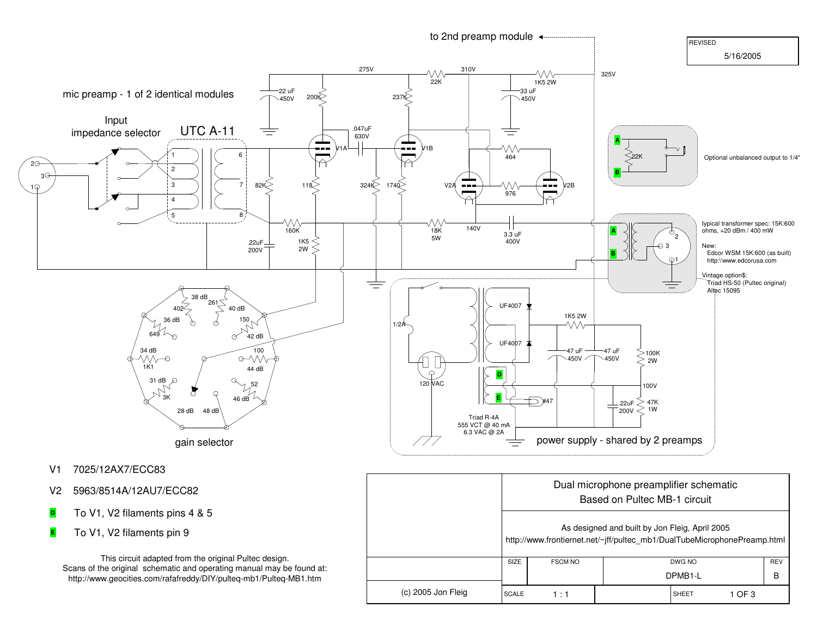

- V1 7025/12AX7/ECC83
- V2 5963/8514A/12AU7/ECC82
- To V1, V2 filaments pins 4 & 5**D**
- To V1, V2 filaments pin 9**E**

This circuit adapted from the original Pultec design. Scans of the original schematic and operating manual may be found at:http://www.geocities.com/rafafreddy/DIY/pulteq-mb1/Pulteq-MB1.htm

|                    | Dual microphone preamplifier schematic<br>Based on Pultec MB-1 circuit<br>As designed and built by Jon Fleig, April 2005<br>http://www.frontiernet.net/~jff/pultec_mb1/DualTubeMicrophonePreamp.html |                |        |  |                     |        |            |
|--------------------|------------------------------------------------------------------------------------------------------------------------------------------------------------------------------------------------------|----------------|--------|--|---------------------|--------|------------|
|                    |                                                                                                                                                                                                      |                |        |  |                     |        |            |
|                    | SIZE                                                                                                                                                                                                 | <b>FSCM NO</b> | DWG NO |  |                     |        | <b>REV</b> |
|                    |                                                                                                                                                                                                      |                |        |  | DPMB <sub>1-L</sub> |        | B          |
| (c) 2005 Jon Fleig | <b>SCALE</b>                                                                                                                                                                                         | 1 : 1          |        |  | SHEET               | 1 OF 3 |            |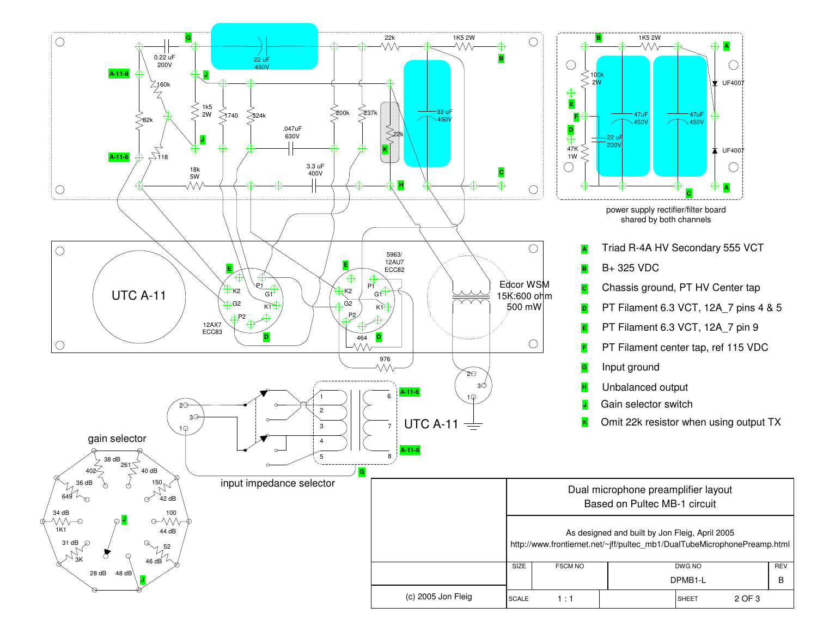